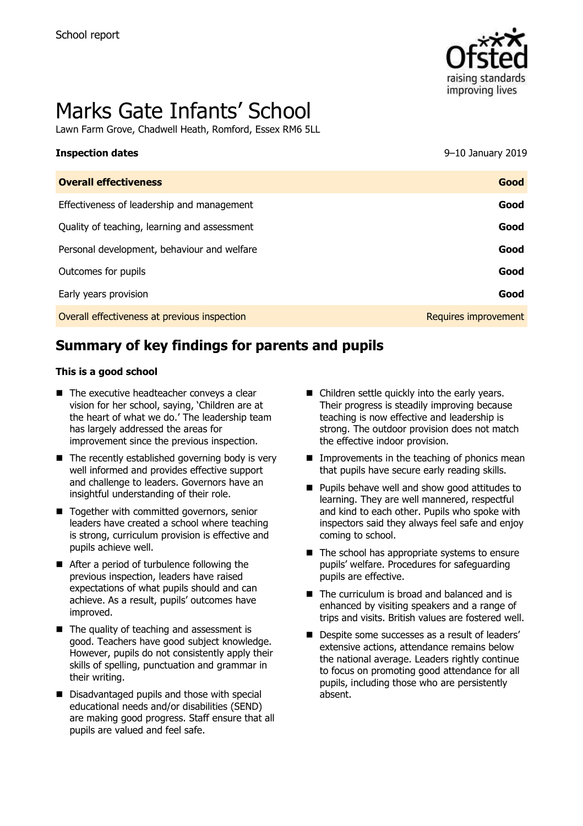

# Marks Gate Infants' School

Lawn Farm Grove, Chadwell Heath, Romford, Essex RM6 5LL

# **Inspection dates** 9–10 January 2019

| <b>Overall effectiveness</b>                 | Good                 |
|----------------------------------------------|----------------------|
| Effectiveness of leadership and management   | Good                 |
| Quality of teaching, learning and assessment | Good                 |
| Personal development, behaviour and welfare  | Good                 |
| Outcomes for pupils                          | Good                 |
| Early years provision                        | Good                 |
| Overall effectiveness at previous inspection | Requires improvement |

# **Summary of key findings for parents and pupils**

#### **This is a good school**

- The executive headteacher convevs a clear vision for her school, saying, 'Children are at the heart of what we do.' The leadership team has largely addressed the areas for improvement since the previous inspection.
- $\blacksquare$  The recently established governing body is very well informed and provides effective support and challenge to leaders. Governors have an insightful understanding of their role.
- Together with committed governors, senior leaders have created a school where teaching is strong, curriculum provision is effective and pupils achieve well.
- After a period of turbulence following the previous inspection, leaders have raised expectations of what pupils should and can achieve. As a result, pupils' outcomes have improved.
- $\blacksquare$  The quality of teaching and assessment is good. Teachers have good subject knowledge. However, pupils do not consistently apply their skills of spelling, punctuation and grammar in their writing.
- Disadvantaged pupils and those with special educational needs and/or disabilities (SEND) are making good progress. Staff ensure that all pupils are valued and feel safe.
- Children settle quickly into the early years. Their progress is steadily improving because teaching is now effective and leadership is strong. The outdoor provision does not match the effective indoor provision.
- $\blacksquare$  Improvements in the teaching of phonics mean that pupils have secure early reading skills.
- **Pupils behave well and show good attitudes to** learning. They are well mannered, respectful and kind to each other. Pupils who spoke with inspectors said they always feel safe and enjoy coming to school.
- $\blacksquare$  The school has appropriate systems to ensure pupils' welfare. Procedures for safeguarding pupils are effective.
- The curriculum is broad and balanced and is enhanced by visiting speakers and a range of trips and visits. British values are fostered well.
- Despite some successes as a result of leaders' extensive actions, attendance remains below the national average. Leaders rightly continue to focus on promoting good attendance for all pupils, including those who are persistently absent.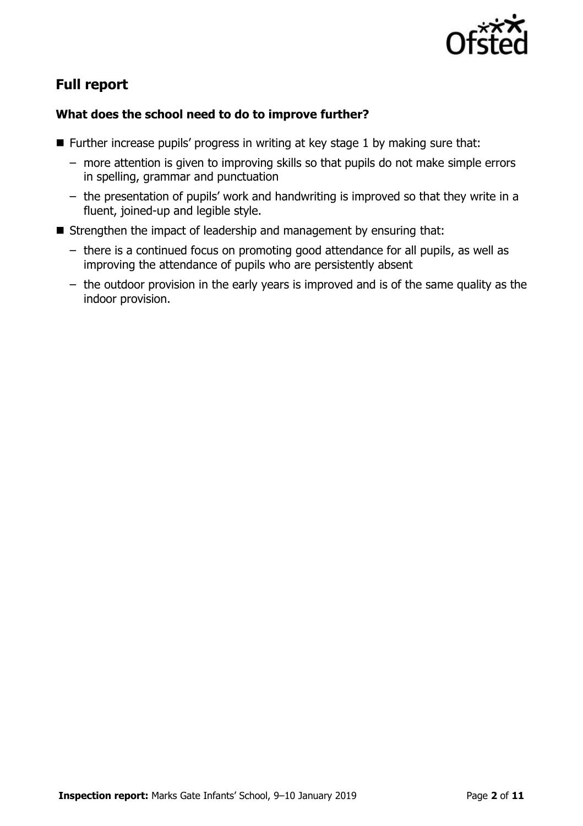

# **Full report**

#### **What does the school need to do to improve further?**

- **Further increase pupils' progress in writing at key stage 1 by making sure that:** 
	- more attention is given to improving skills so that pupils do not make simple errors in spelling, grammar and punctuation
	- the presentation of pupils' work and handwriting is improved so that they write in a fluent, joined-up and legible style.
- Strengthen the impact of leadership and management by ensuring that:
	- there is a continued focus on promoting good attendance for all pupils, as well as improving the attendance of pupils who are persistently absent
	- the outdoor provision in the early years is improved and is of the same quality as the indoor provision.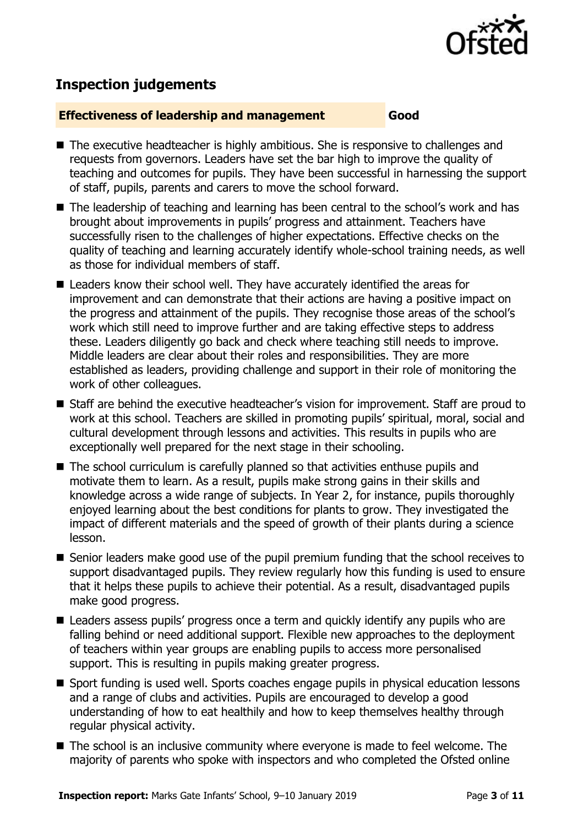

## **Inspection judgements**

#### **Effectiveness of leadership and management Good**

- The executive headteacher is highly ambitious. She is responsive to challenges and requests from governors. Leaders have set the bar high to improve the quality of teaching and outcomes for pupils. They have been successful in harnessing the support of staff, pupils, parents and carers to move the school forward.
- The leadership of teaching and learning has been central to the school's work and has brought about improvements in pupils' progress and attainment. Teachers have successfully risen to the challenges of higher expectations. Effective checks on the quality of teaching and learning accurately identify whole-school training needs, as well as those for individual members of staff.
- Leaders know their school well. They have accurately identified the areas for improvement and can demonstrate that their actions are having a positive impact on the progress and attainment of the pupils. They recognise those areas of the school's work which still need to improve further and are taking effective steps to address these. Leaders diligently go back and check where teaching still needs to improve. Middle leaders are clear about their roles and responsibilities. They are more established as leaders, providing challenge and support in their role of monitoring the work of other colleagues.
- Staff are behind the executive headteacher's vision for improvement. Staff are proud to work at this school. Teachers are skilled in promoting pupils' spiritual, moral, social and cultural development through lessons and activities. This results in pupils who are exceptionally well prepared for the next stage in their schooling.
- The school curriculum is carefully planned so that activities enthuse pupils and motivate them to learn. As a result, pupils make strong gains in their skills and knowledge across a wide range of subjects. In Year 2, for instance, pupils thoroughly enjoyed learning about the best conditions for plants to grow. They investigated the impact of different materials and the speed of growth of their plants during a science lesson.
- Senior leaders make good use of the pupil premium funding that the school receives to support disadvantaged pupils. They review regularly how this funding is used to ensure that it helps these pupils to achieve their potential. As a result, disadvantaged pupils make good progress.
- Leaders assess pupils' progress once a term and quickly identify any pupils who are falling behind or need additional support. Flexible new approaches to the deployment of teachers within year groups are enabling pupils to access more personalised support. This is resulting in pupils making greater progress.
- Sport funding is used well. Sports coaches engage pupils in physical education lessons and a range of clubs and activities. Pupils are encouraged to develop a good understanding of how to eat healthily and how to keep themselves healthy through regular physical activity.
- The school is an inclusive community where everyone is made to feel welcome. The majority of parents who spoke with inspectors and who completed the Ofsted online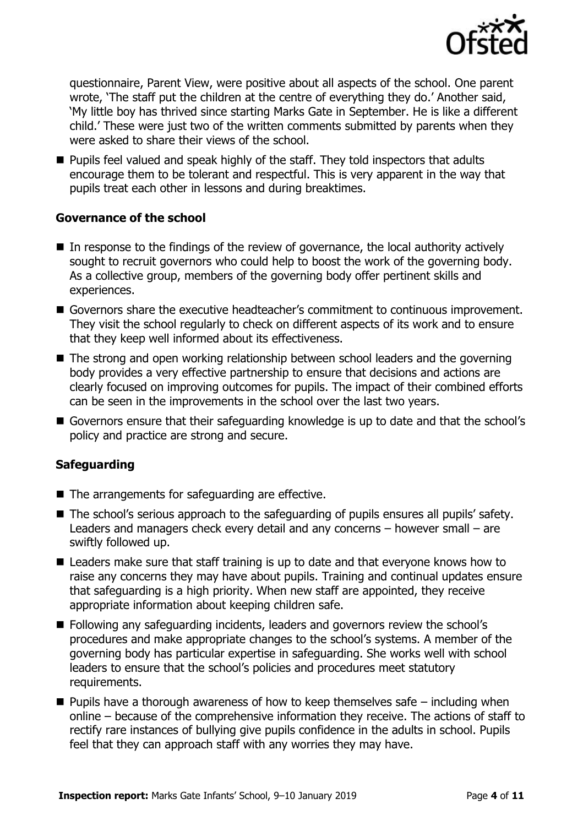

questionnaire, Parent View, were positive about all aspects of the school. One parent wrote, 'The staff put the children at the centre of everything they do.' Another said, 'My little boy has thrived since starting Marks Gate in September. He is like a different child.' These were just two of the written comments submitted by parents when they were asked to share their views of the school.

**Pupils feel valued and speak highly of the staff. They told inspectors that adults** encourage them to be tolerant and respectful. This is very apparent in the way that pupils treat each other in lessons and during breaktimes.

#### **Governance of the school**

- In response to the findings of the review of governance, the local authority actively sought to recruit governors who could help to boost the work of the governing body. As a collective group, members of the governing body offer pertinent skills and experiences.
- Governors share the executive headteacher's commitment to continuous improvement. They visit the school regularly to check on different aspects of its work and to ensure that they keep well informed about its effectiveness.
- The strong and open working relationship between school leaders and the governing body provides a very effective partnership to ensure that decisions and actions are clearly focused on improving outcomes for pupils. The impact of their combined efforts can be seen in the improvements in the school over the last two years.
- Governors ensure that their safeguarding knowledge is up to date and that the school's policy and practice are strong and secure.

### **Safeguarding**

- The arrangements for safeguarding are effective.
- The school's serious approach to the safeguarding of pupils ensures all pupils' safety. Leaders and managers check every detail and any concerns – however small – are swiftly followed up.
- Leaders make sure that staff training is up to date and that everyone knows how to raise any concerns they may have about pupils. Training and continual updates ensure that safeguarding is a high priority. When new staff are appointed, they receive appropriate information about keeping children safe.
- Following any safeguarding incidents, leaders and governors review the school's procedures and make appropriate changes to the school's systems. A member of the governing body has particular expertise in safeguarding. She works well with school leaders to ensure that the school's policies and procedures meet statutory requirements.
- $\blacksquare$  Pupils have a thorough awareness of how to keep themselves safe including when online – because of the comprehensive information they receive. The actions of staff to rectify rare instances of bullying give pupils confidence in the adults in school. Pupils feel that they can approach staff with any worries they may have.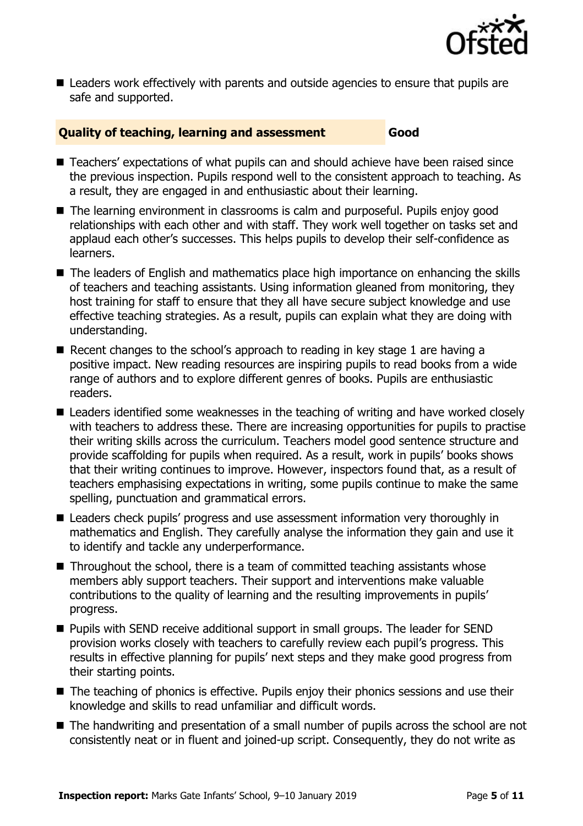

 Leaders work effectively with parents and outside agencies to ensure that pupils are safe and supported.

#### **Quality of teaching, learning and assessment Good**

- Teachers' expectations of what pupils can and should achieve have been raised since the previous inspection. Pupils respond well to the consistent approach to teaching. As a result, they are engaged in and enthusiastic about their learning.
- The learning environment in classrooms is calm and purposeful. Pupils enjoy good relationships with each other and with staff. They work well together on tasks set and applaud each other's successes. This helps pupils to develop their self-confidence as learners.
- The leaders of English and mathematics place high importance on enhancing the skills of teachers and teaching assistants. Using information gleaned from monitoring, they host training for staff to ensure that they all have secure subject knowledge and use effective teaching strategies. As a result, pupils can explain what they are doing with understanding.
- Recent changes to the school's approach to reading in key stage 1 are having a positive impact. New reading resources are inspiring pupils to read books from a wide range of authors and to explore different genres of books. Pupils are enthusiastic readers.
- Leaders identified some weaknesses in the teaching of writing and have worked closely with teachers to address these. There are increasing opportunities for pupils to practise their writing skills across the curriculum. Teachers model good sentence structure and provide scaffolding for pupils when required. As a result, work in pupils' books shows that their writing continues to improve. However, inspectors found that, as a result of teachers emphasising expectations in writing, some pupils continue to make the same spelling, punctuation and grammatical errors.
- Leaders check pupils' progress and use assessment information very thoroughly in mathematics and English. They carefully analyse the information they gain and use it to identify and tackle any underperformance.
- $\blacksquare$  Throughout the school, there is a team of committed teaching assistants whose members ably support teachers. Their support and interventions make valuable contributions to the quality of learning and the resulting improvements in pupils' progress.
- **Pupils with SEND receive additional support in small groups. The leader for SEND** provision works closely with teachers to carefully review each pupil's progress. This results in effective planning for pupils' next steps and they make good progress from their starting points.
- The teaching of phonics is effective. Pupils enjoy their phonics sessions and use their knowledge and skills to read unfamiliar and difficult words.
- The handwriting and presentation of a small number of pupils across the school are not consistently neat or in fluent and joined-up script. Consequently, they do not write as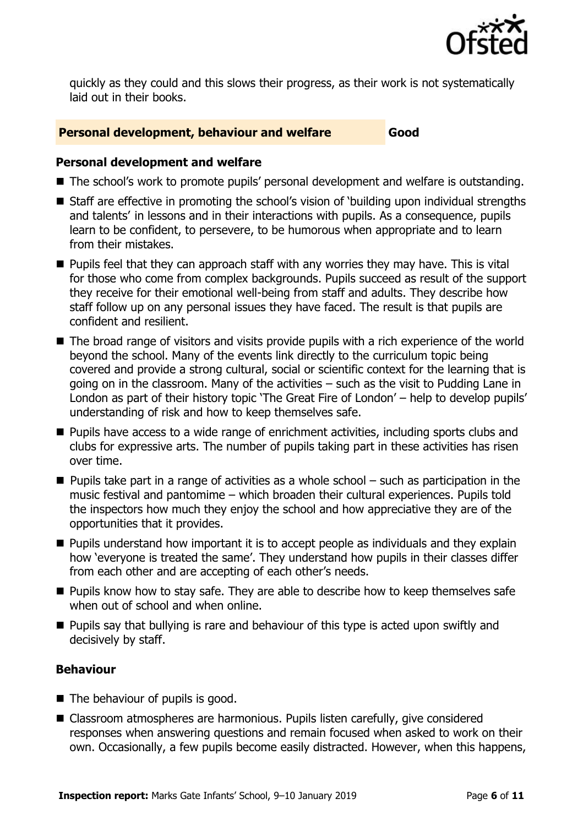

quickly as they could and this slows their progress, as their work is not systematically laid out in their books.

#### **Personal development, behaviour and welfare Good**

#### **Personal development and welfare**

- The school's work to promote pupils' personal development and welfare is outstanding.
- Staff are effective in promoting the school's vision of 'building upon individual strengths and talents' in lessons and in their interactions with pupils. As a consequence, pupils learn to be confident, to persevere, to be humorous when appropriate and to learn from their mistakes.
- **Pupils feel that they can approach staff with any worries they may have. This is vital** for those who come from complex backgrounds. Pupils succeed as result of the support they receive for their emotional well-being from staff and adults. They describe how staff follow up on any personal issues they have faced. The result is that pupils are confident and resilient.
- The broad range of visitors and visits provide pupils with a rich experience of the world beyond the school. Many of the events link directly to the curriculum topic being covered and provide a strong cultural, social or scientific context for the learning that is going on in the classroom. Many of the activities – such as the visit to Pudding Lane in London as part of their history topic 'The Great Fire of London' – help to develop pupils' understanding of risk and how to keep themselves safe.
- **Pupils have access to a wide range of enrichment activities, including sports clubs and** clubs for expressive arts. The number of pupils taking part in these activities has risen over time.
- $\blacksquare$  Pupils take part in a range of activities as a whole school  $-$  such as participation in the music festival and pantomime – which broaden their cultural experiences. Pupils told the inspectors how much they enjoy the school and how appreciative they are of the opportunities that it provides.
- **Pupils understand how important it is to accept people as individuals and they explain** how 'everyone is treated the same'. They understand how pupils in their classes differ from each other and are accepting of each other's needs.
- **Pupils know how to stay safe. They are able to describe how to keep themselves safe** when out of school and when online.
- $\blacksquare$  Pupils say that bullying is rare and behaviour of this type is acted upon swiftly and decisively by staff.

### **Behaviour**

- The behaviour of pupils is good.
- Classroom atmospheres are harmonious. Pupils listen carefully, give considered responses when answering questions and remain focused when asked to work on their own. Occasionally, a few pupils become easily distracted. However, when this happens,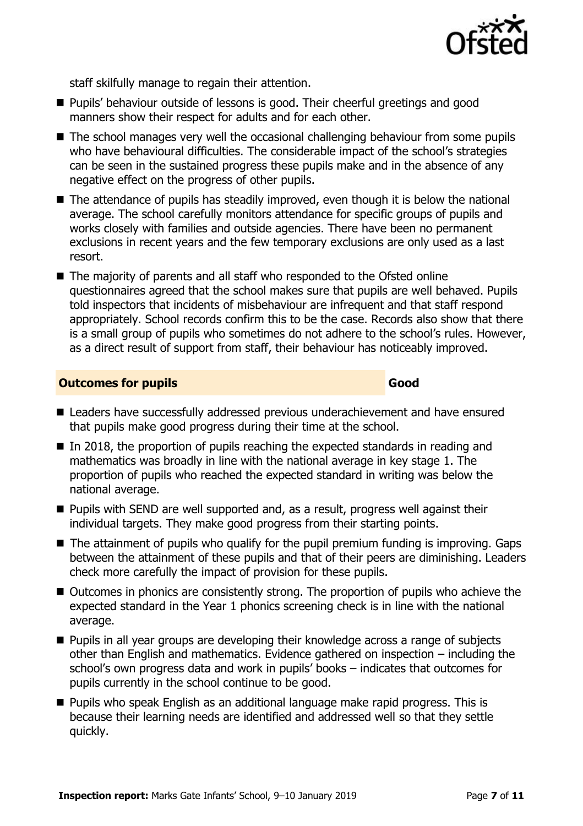

staff skilfully manage to regain their attention.

- **Pupils' behaviour outside of lessons is good. Their cheerful greetings and good** manners show their respect for adults and for each other.
- The school manages very well the occasional challenging behaviour from some pupils who have behavioural difficulties. The considerable impact of the school's strategies can be seen in the sustained progress these pupils make and in the absence of any negative effect on the progress of other pupils.
- The attendance of pupils has steadily improved, even though it is below the national average. The school carefully monitors attendance for specific groups of pupils and works closely with families and outside agencies. There have been no permanent exclusions in recent years and the few temporary exclusions are only used as a last resort.
- The majority of parents and all staff who responded to the Ofsted online questionnaires agreed that the school makes sure that pupils are well behaved. Pupils told inspectors that incidents of misbehaviour are infrequent and that staff respond appropriately. School records confirm this to be the case. Records also show that there is a small group of pupils who sometimes do not adhere to the school's rules. However, as a direct result of support from staff, their behaviour has noticeably improved.

#### **Outcomes for pupils Good**

- Leaders have successfully addressed previous underachievement and have ensured that pupils make good progress during their time at the school.
- $\blacksquare$  In 2018, the proportion of pupils reaching the expected standards in reading and mathematics was broadly in line with the national average in key stage 1. The proportion of pupils who reached the expected standard in writing was below the national average.
- **Pupils with SEND are well supported and, as a result, progress well against their** individual targets. They make good progress from their starting points.
- $\blacksquare$  The attainment of pupils who qualify for the pupil premium funding is improving. Gaps between the attainment of these pupils and that of their peers are diminishing. Leaders check more carefully the impact of provision for these pupils.
- Outcomes in phonics are consistently strong. The proportion of pupils who achieve the expected standard in the Year 1 phonics screening check is in line with the national average.
- **Pupils in all year groups are developing their knowledge across a range of subjects** other than English and mathematics. Evidence gathered on inspection – including the school's own progress data and work in pupils' books – indicates that outcomes for pupils currently in the school continue to be good.
- **Pupils who speak English as an additional language make rapid progress. This is** because their learning needs are identified and addressed well so that they settle quickly.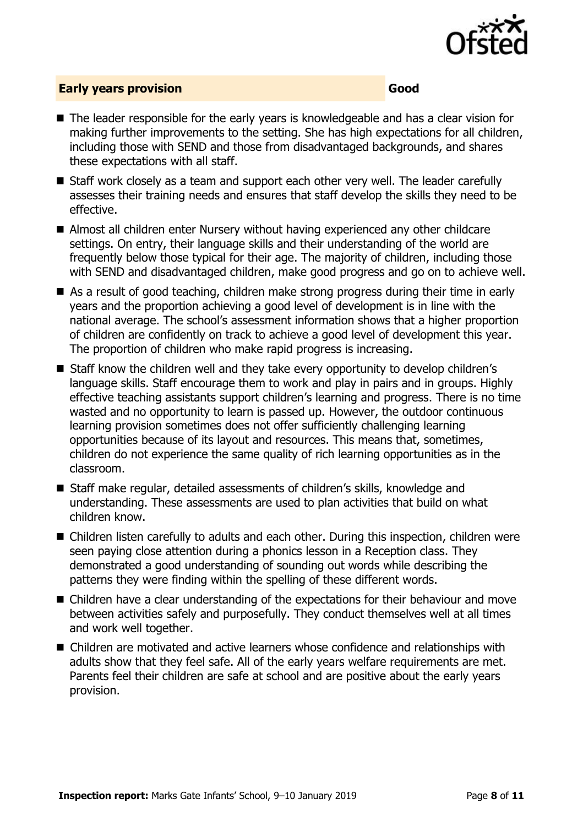

#### **Early years provision Good**

- The leader responsible for the early years is knowledgeable and has a clear vision for making further improvements to the setting. She has high expectations for all children, including those with SEND and those from disadvantaged backgrounds, and shares these expectations with all staff.
- Staff work closely as a team and support each other very well. The leader carefully assesses their training needs and ensures that staff develop the skills they need to be effective.
- Almost all children enter Nursery without having experienced any other childcare settings. On entry, their language skills and their understanding of the world are frequently below those typical for their age. The majority of children, including those with SEND and disadvantaged children, make good progress and go on to achieve well.
- As a result of good teaching, children make strong progress during their time in early years and the proportion achieving a good level of development is in line with the national average. The school's assessment information shows that a higher proportion of children are confidently on track to achieve a good level of development this year. The proportion of children who make rapid progress is increasing.
- Staff know the children well and they take every opportunity to develop children's language skills. Staff encourage them to work and play in pairs and in groups. Highly effective teaching assistants support children's learning and progress. There is no time wasted and no opportunity to learn is passed up. However, the outdoor continuous learning provision sometimes does not offer sufficiently challenging learning opportunities because of its layout and resources. This means that, sometimes, children do not experience the same quality of rich learning opportunities as in the classroom.
- Staff make regular, detailed assessments of children's skills, knowledge and understanding. These assessments are used to plan activities that build on what children know.
- Children listen carefully to adults and each other. During this inspection, children were seen paying close attention during a phonics lesson in a Reception class. They demonstrated a good understanding of sounding out words while describing the patterns they were finding within the spelling of these different words.
- Children have a clear understanding of the expectations for their behaviour and move between activities safely and purposefully. They conduct themselves well at all times and work well together.
- Children are motivated and active learners whose confidence and relationships with adults show that they feel safe. All of the early years welfare requirements are met. Parents feel their children are safe at school and are positive about the early years provision.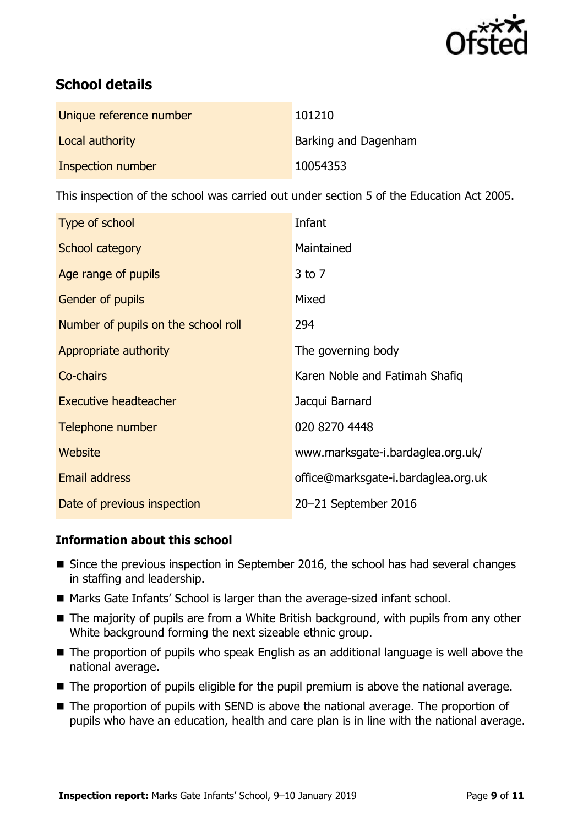

# **School details**

| Unique reference number | 101210               |
|-------------------------|----------------------|
| Local authority         | Barking and Dagenham |
| Inspection number       | 10054353             |

This inspection of the school was carried out under section 5 of the Education Act 2005.

| Type of school                      | Infant                              |
|-------------------------------------|-------------------------------------|
| School category                     | Maintained                          |
| Age range of pupils                 | 3 to 7                              |
| <b>Gender of pupils</b>             | Mixed                               |
| Number of pupils on the school roll | 294                                 |
| Appropriate authority               | The governing body                  |
| Co-chairs                           | Karen Noble and Fatimah Shafiq      |
| <b>Executive headteacher</b>        | Jacqui Barnard                      |
| Telephone number                    | 020 8270 4448                       |
| Website                             | www.marksgate-i.bardaglea.org.uk/   |
| Email address                       | office@marksgate-i.bardaglea.org.uk |
| Date of previous inspection         | 20-21 September 2016                |

#### **Information about this school**

- Since the previous inspection in September 2016, the school has had several changes in staffing and leadership.
- Marks Gate Infants' School is larger than the average-sized infant school.
- The majority of pupils are from a White British background, with pupils from any other White background forming the next sizeable ethnic group.
- The proportion of pupils who speak English as an additional language is well above the national average.
- The proportion of pupils eligible for the pupil premium is above the national average.
- The proportion of pupils with SEND is above the national average. The proportion of pupils who have an education, health and care plan is in line with the national average.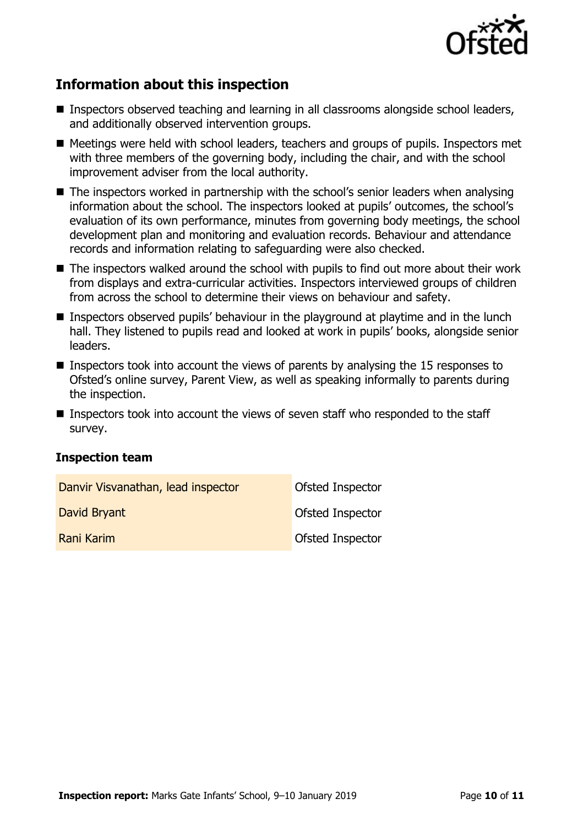

## **Information about this inspection**

- Inspectors observed teaching and learning in all classrooms alongside school leaders, and additionally observed intervention groups.
- Meetings were held with school leaders, teachers and groups of pupils. Inspectors met with three members of the governing body, including the chair, and with the school improvement adviser from the local authority.
- The inspectors worked in partnership with the school's senior leaders when analysing information about the school. The inspectors looked at pupils' outcomes, the school's evaluation of its own performance, minutes from governing body meetings, the school development plan and monitoring and evaluation records. Behaviour and attendance records and information relating to safeguarding were also checked.
- The inspectors walked around the school with pupils to find out more about their work from displays and extra-curricular activities. Inspectors interviewed groups of children from across the school to determine their views on behaviour and safety.
- Inspectors observed pupils' behaviour in the playground at playtime and in the lunch hall. They listened to pupils read and looked at work in pupils' books, alongside senior leaders.
- **Inspectors took into account the views of parents by analysing the 15 responses to** Ofsted's online survey, Parent View, as well as speaking informally to parents during the inspection.
- Inspectors took into account the views of seven staff who responded to the staff survey.

#### **Inspection team**

| Danvir Visvanathan, lead inspector | Ofsted Inspector        |
|------------------------------------|-------------------------|
| David Bryant                       | Ofsted Inspector        |
| Rani Karim                         | <b>Ofsted Inspector</b> |